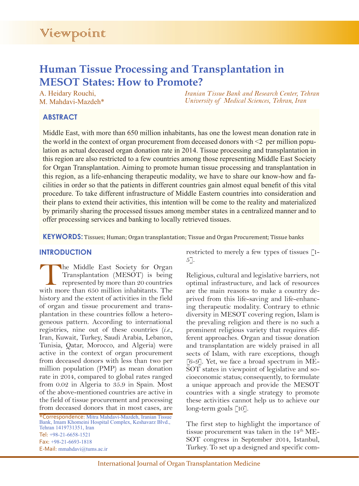# **Human Tissue Processing and Transplantation in MESOT States: How to Promote?**

A. Heidary Rouchi, M. Mahdavi-Mazdeh\* *Iranian Tissue Bank and Research Center, Tehran University of Medical Sciences, Tehran, Iran*

## **ABSTRACT**

Middle East, with more than 650 million inhabitants, has one the lowest mean donation rate in the world in the context of organ procurement from deceased donors with  $\leq 2$  per million population as actual deceased organ donation rate in 2014. Tissue processing and transplantation in this region are also restricted to a few countries among those representing Middle East Society for Organ Transplantation. Aiming to promote human tissue processing and transplantation in this region, as a life-enhancing therapeutic modality, we have to share our know-how and facilities in order so that the patients in different countries gain almost equal benefit of this vital procedure. To take different infrastructure of Middle Eastern countries into consideration and their plans to extend their activities, this intention will be come to the reality and materialized by primarily sharing the processed tissues among member states in a centralized manner and to offer processing services and banking to locally retrieved tissues.

**KEYWORDS:** Tissues; Human; Organ transplantation; Tissue and Organ Procurement; Tissue banks

## **INTRODUCTION**

The Middle East Society for Organ Transplantation (MESOT) is being represented by more than 20 countries with more than 650 million inhabitants. The history and the extent of activities in the field of organ and tissue procurement and transplantation in these countries follow a heterogeneous pattern. According to international registries, nine out of these countries (*i.e.*, Iran, Kuwait, Turkey, Saudi Arabia, Lebanon, Tunisia, Qatar, Morocco, and Algeria) were active in the context of organ procurement from deceased donors with less than two per million population (PMP) as mean donation rate in 2014, compared to global rates ranged from 0.02 in Algeria to 35.9 in Spain. Most of the above-mentioned countries are active in the field of tissue procurement and processing from deceased donors that in most cases, are

\*Correspondence: Mitra Mahdavi-Mazdeh, Iranian Tissue Bank, Imam Khomeini Hospital Complex, Keshavarz Blvd., Tehran 1419731351, Iran Tel: +98-21-6658-1521 Fax: +98-21-6693-1818 E-Mail: mmahdavi@tums.ac.ir

restricted to merely a few types of tissues [1- 5].

Religious, cultural and legislative barriers, not optimal infrastructure, and lack of resources are the main reasons to make a country deprived from this life-saving and life-enhancing therapeutic modality. Contrary to ethnic diversity in MESOT covering region, Islam is the prevaling religion and there is no such a prominent religious variety that requires different approaches. Organ and tissue donation and transplantation are widely praised in all sects of Islam, with rare exceptions, though [6-9]. Yet, we face a broad spectrum in ME-SOT states in viewpoint of legislative and socioeconomic status; consequently, to formulate a unique approach and provide the MESOT countries with a single strategy to promote these activities cannot help us to achieve our long-term goals [10].

The first step to highlight the importance of tissue procurement was taken in the 14<sup>th</sup> ME-SOT congress in September 2014, Istanbul, Turkey. To set up a designed and specific com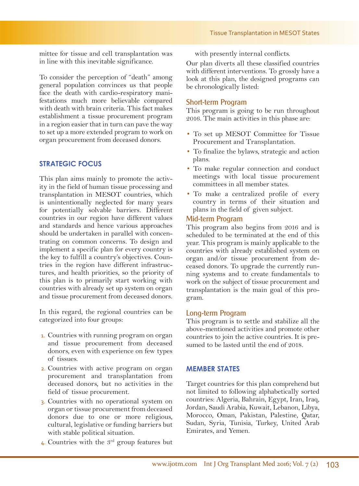mittee for tissue and cell transplantation was in line with this inevitable significance.

To consider the perception of "death" among general population convinces us that people face the death with cardio-respiratory manifestations much more believable compared with death with brain criteria. This fact makes establishment a tissue procurement program in a region easier that in turn can pave the way to set up a more extended program to work on organ procurement from deceased donors.

## **STRATEGIC FOCUS**

This plan aims mainly to promote the activity in the field of human tissue processing and transplantation in MESOT countries, which is unintentionally neglected for many years for potentially solvable barriers. Different countries in our region have different values and standards and hence various approaches should be undertaken in parallel with concentrating on common concerns. To design and implement a specific plan for every country is the key to fulfill a country's objectives. Countries in the region have different infrastructures, and health priorities, so the priority of this plan is to primarily start working with countries with already set up system on organ and tissue procurement from deceased donors.

In this regard, the regional countries can be categorized into four groups:

- 1. Countries with running program on organ and tissue procurement from deceased donors, even with experience on few types of tissues.
- 2. Countries with active program on organ procurement and transplantation from deceased donors, but no activities in the field of tissue procurement.
- 3. Countries with no operational system on organ or tissue procurement from deceased donors due to one or more religious, cultural, legislative or funding barriers but with stable political situation.
- 4. Countries with the 3rd group features but

with presently internal conflicts.

Our plan diverts all these classified countries with different interventions. To grossly have a look at this plan, the designed programs can be chronologically listed:

#### Short-term Program

This program is going to be run throughout 2016. The main activities in this phase are:

- To set up MESOT Committee for Tissue Procurement and Transplantation.
- To finalize the bylaws, strategic and action plans.
- To make regular connection and conduct meetings with local tissue procurement committees in all member states.
- To make a centralized profile of every country in terms of their situation and plans in the field of given subject.

#### Mid-term Program

This program also begins from 2016 and is scheduled to be terminated at the end of this year. This program is mainly applicable to the countries with already established system on organ and/or tissue procurement from deceased donors. To upgrade the currently running systems and to create fundamentals to work on the subject of tissue procurement and transplantation is the main goal of this program.

#### Long-term Program

This program is to settle and stabilize all the above-mentioned activities and promote other countries to join the active countries. It is presumed to be lasted until the end of 2018.

#### **MEMBER STATES**

Target countries for this plan comprehend but not limited to following alphabetically sorted countries: Algeria, Bahrain, Egypt, Iran, Iraq, Jordan, Saudi Arabia, Kuwait, Lebanon, Libya, Morocco, Oman, Pakistan, Palestine, Qatar, Sudan, Syria, Tunisia, Turkey, United Arab Emirates, and Yemen.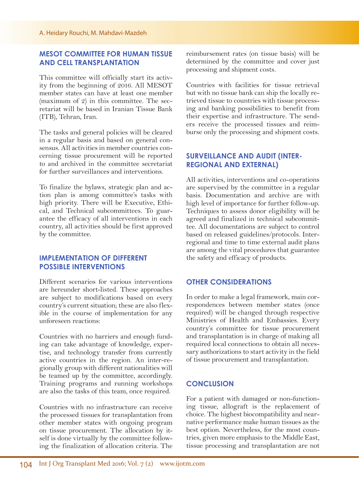## **MESOT COMMITTEE FOR HUMAN TISSUE AND CELL TRANSPLANTATION**

This committee will officially start its activity from the beginning of 2016. All MESOT member states can have at least one member (maximum of 2) in this committee. The secretariat will be based in Iranian Tissue Bank (ITB), Tehran, Iran.

The tasks and general policies will be cleared in a regular basis and based on general consensus. All activities in member countries concerning tissue procurement will be reported to and archived in the committee secretariat for further surveillances and interventions.

To finalize the bylaws, strategic plan and action plan is among committee's tasks with high priority. There will be Executive, Ethical, and Technical subcommittees. To guarantee the efficacy of all interventions in each country, all activities should be first approved by the committee.

## **IMPLEMENTATION OF DIFFERENT POSSIBLE INTERVENTIONS**

Different scenarios for various interventions are hereunder short-listed. These approaches are subject to modifications based on every country's current situation; these are also flexible in the course of implementation for any unforeseen reactions:

Countries with no barriers and enough funding can take advantage of knowledge, expertise, and technology transfer from currently active countries in the region. An inter-regionally group with different nationalities will be teamed up by the committee, accordingly. Training programs and running workshops are also the tasks of this team, once required.

Countries with no infrastructure can receive the processed tissues for transplantation from other member states with ongoing program on tissue procurement. The allocation by itself is done virtually by the committee following the finalization of allocation criteria. The reimbursement rates (on tissue basis) will be determined by the committee and cover just processing and shipment costs.

Countries with facilities for tissue retrieval but with no tissue bank can ship the locally retrieved tissue to countries with tissue processing and banking possibilities to benefit from their expertise and infrastructure. The senders receive the processed tissues and reimburse only the processing and shipment costs.

## **SURVEILLANCE AND AUDIT (INTER-REGIONAL AND EXTERNAL)**

All activities, interventions and co-operations are supervised by the committee in a regular basis. Documentation and archive are with high level of importance for further follow-up. Techniques to assess donor eligibility will be agreed and finalized in technical subcommittee. All documentations are subject to control based on released guidelines/protocols. Interregional and time to time external audit plans are among the vital procedures that guarantee the safety and efficacy of products.

### **OTHER CONSIDERATIONS**

In order to make a legal framework, main correspondences between member states (once required) will be changed through respective Ministries of Health and Embassies. Every country's committee for tissue procurement and transplantation is in charge of making all required local connections to obtain all necessary authorizations to start activity in the field of tissue procurement and transplantation.

#### **CONCLUSION**

For a patient with damaged or non-functioning tissue, allograft is the replacement of choice. The highest biocompatibility and nearnative performance make human tissues as the best option. Nevertheless, for the most countries, given more emphasis to the Middle East, tissue processing and transplantation are not